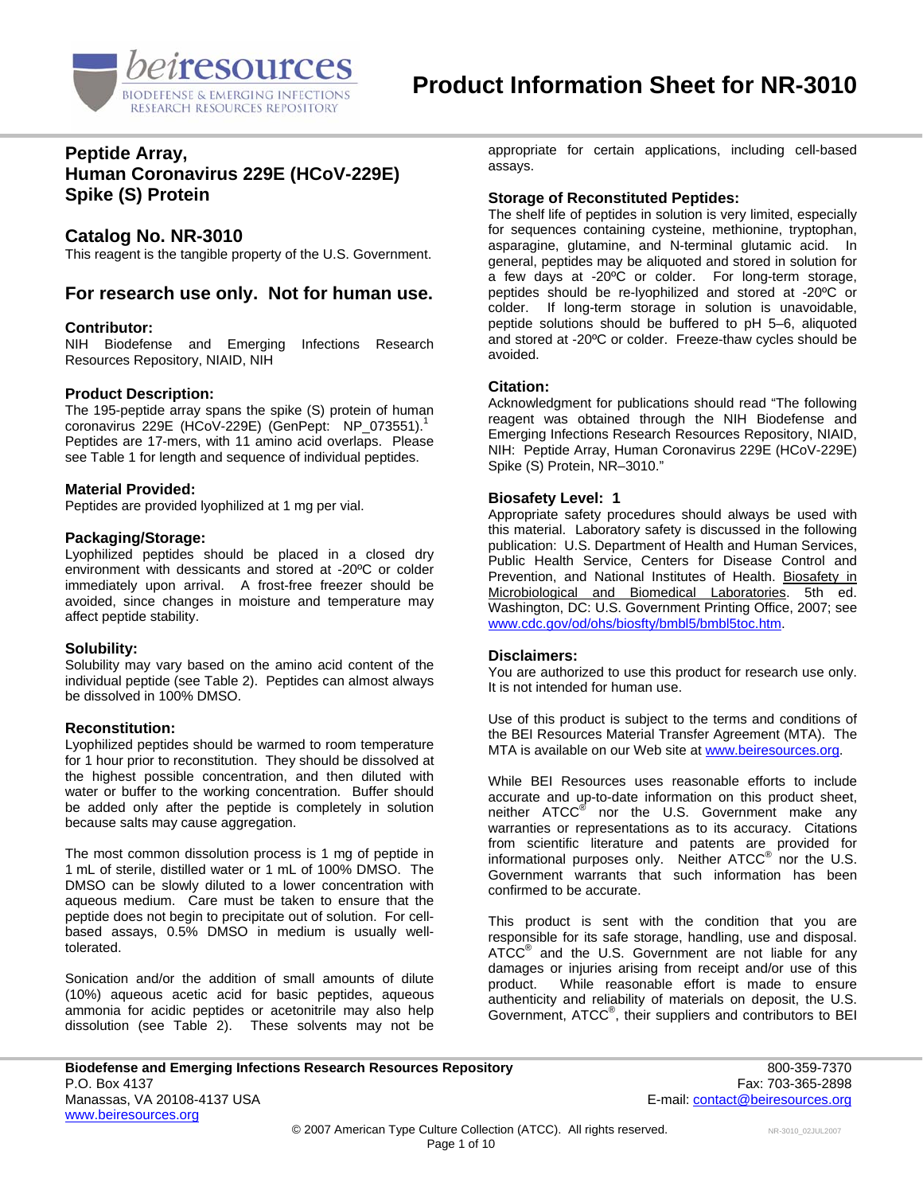

## **Peptide Array, Human Coronavirus 229E (HCoV-229E) Spike (S) Protein**

### **Catalog No. NR-3010**

This reagent is the tangible property of the U.S. Government.

### **For research use only. Not for human use.**

#### **Contributor:**

NIH Biodefense and Emerging Infections Research Resources Repository, NIAID, NIH

#### **Product Description:**

The 195-peptide array spans the spike (S) protein of human coronavirus 229E (HCoV-229E) (GenPept: NP  $073551$ ).<sup>1</sup> Peptides are 17-mers, with 11 amino acid overlaps. Please see Table 1 for length and sequence of individual peptides.

#### **Material Provided:**

Peptides are provided lyophilized at 1 mg per vial.

#### **Packaging/Storage:**

Lyophilized peptides should be placed in a closed dry environment with dessicants and stored at -20ºC or colder immediately upon arrival. A frost-free freezer should be avoided, since changes in moisture and temperature may affect peptide stability.

### **Solubility:**

Solubility may vary based on the amino acid content of the individual peptide (see Table 2). Peptides can almost always be dissolved in 100% DMSO.

#### **Reconstitution:**

Lyophilized peptides should be warmed to room temperature for 1 hour prior to reconstitution. They should be dissolved at the highest possible concentration, and then diluted with water or buffer to the working concentration. Buffer should be added only after the peptide is completely in solution because salts may cause aggregation.

The most common dissolution process is 1 mg of peptide in 1 mL of sterile, distilled water or 1 mL of 100% DMSO. The DMSO can be slowly diluted to a lower concentration with aqueous medium. Care must be taken to ensure that the peptide does not begin to precipitate out of solution. For cellbased assays, 0.5% DMSO in medium is usually welltolerated.

Sonication and/or the addition of small amounts of dilute (10%) aqueous acetic acid for basic peptides, aqueous ammonia for acidic peptides or acetonitrile may also help dissolution (see Table 2). These solvents may not be appropriate for certain applications, including cell-based assays.

#### **Storage of Reconstituted Peptides:**

The shelf life of peptides in solution is very limited, especially for sequences containing cysteine, methionine, tryptophan, asparagine, glutamine, and N-terminal glutamic acid. In general, peptides may be aliquoted and stored in solution for a few days at -20ºC or colder. For long-term storage, peptides should be re-lyophilized and stored at -20ºC or colder. If long-term storage in solution is unavoidable, peptide solutions should be buffered to pH 5–6, aliquoted and stored at -20ºC or colder. Freeze-thaw cycles should be avoided.

#### **Citation:**

Acknowledgment for publications should read "The following reagent was obtained through the NIH Biodefense and Emerging Infections Research Resources Repository, NIAID, NIH: Peptide Array, Human Coronavirus 229E (HCoV-229E) Spike (S) Protein, NR–3010."

#### **Biosafety Level: 1**

Appropriate safety procedures should always be used with this material. Laboratory safety is discussed in the following publication: U.S. Department of Health and Human Services, Public Health Service, Centers for Disease Control and Prevention, and National Institutes of Health. Biosafety in Microbiological and Biomedical Laboratories. 5th ed. Washington, DC: U.S. Government Printing Office, 2007; see [www.cdc.gov/od/ohs/biosfty/bmbl5/bmbl5toc.htm.](http://www.cdc.gov/od/ohs/biosfty/bmbl5/bmbl5toc.htm)

#### **Disclaimers:**

You are authorized to use this product for research use only. It is not intended for human use.

Use of this product is subject to the terms and conditions of the BEI Resources Material Transfer Agreement (MTA). The MTA is available on our Web site at [www.beiresources.org](http://www.beiresources.org/).

While BEI Resources uses reasonable efforts to include accurate and up-to-date information on this product sheet, neither ATCC<sup>®</sup> nor the U.S. Government make any warranties or representations as to its accuracy. Citations from scientific literature and patents are provided for informational purposes only. Neither  $\tt{ATCC}^{\circledR}$  nor the U.S. Government warrants that such information has been confirmed to be accurate.

This product is sent with the condition that you are responsible for its safe storage, handling, use and disposal. ATCC<sup>®</sup> and the U.S. Government are not liable for any damages or injuries arising from receipt and/or use of this product. While reasonable effort is made to ensure authenticity and reliability of materials on deposit, the U.S. Government, ATCC® , their suppliers and contributors to BEI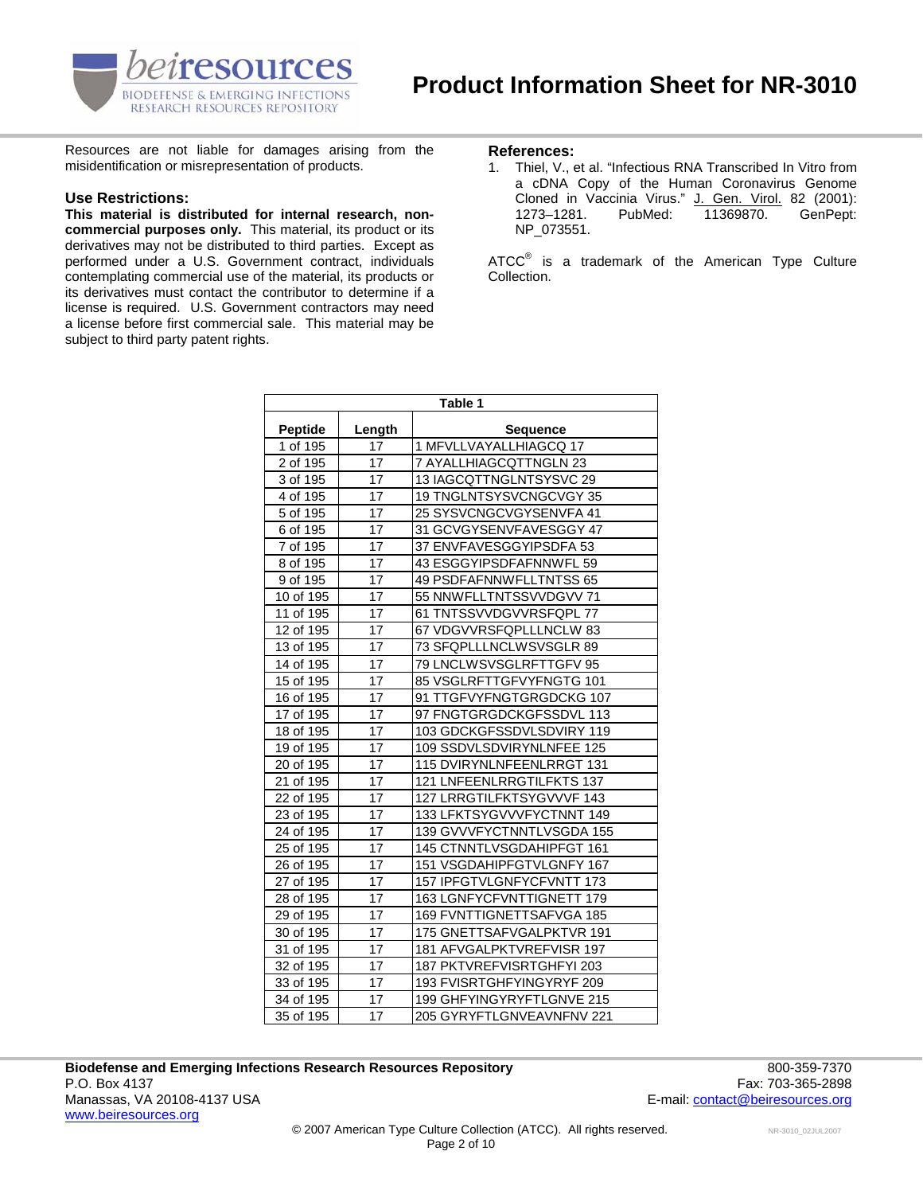

Resources are not liable for damages arising from the **References:**<br>misidentification or misrepresentation of products. 1. Thiel, V., 4

#### **Use Restrictions:**

**This material is distributed for internal research, noncommercial purposes only.** This material, its product or its derivatives may not be distributed to third parties. Except as performed under a U.S. Government contract, individuals contemplating commercial use of the material, its products or its derivatives must contact the contributor to determine if a license is required. U.S. Government contractors may need a license before first commercial sale. This material may be subject to third party patent rights.

1. Thiel, V., et al. "Infectious RNA Transcribed In Vitro from a cDNA Copy of the Human Coronavirus Genome Cloned in Vaccinia Virus." J. Gen. Virol. 82 (2001):<br>1273–1281. PubMed: 11369870. GenPept: 1273–1281. PubMed: 11369870. GenPept: NP\_073551.

ATCC $^{\circ}$  is a trademark of the American Type Culture Collection.

| Table 1               |        |                           |  |
|-----------------------|--------|---------------------------|--|
| <b>Peptide</b>        | Length | <b>Sequence</b>           |  |
| $\overline{1}$ of 195 | 17     | 1 MFVLLVAYALLHIAGCQ 17    |  |
| 2 of 195              | 17     | 7 AYALLHIAGCQTTNGLN 23    |  |
| 3 of 195              | 17     | 13 IAGCQTTNGLNTSYSVC 29   |  |
| 4 of 195              | 17     | 19 TNGLNTSYSVCNGCVGY 35   |  |
| 5 of 195              | 17     | 25 SYSVCNGCVGYSENVFA 41   |  |
| 6 of 195              | 17     | 31 GCVGYSENVFAVESGGY 47   |  |
| 7 of 195              | 17     | 37 ENVFAVESGGYIPSDFA 53   |  |
| 8 of 195              | 17     | 43 ESGGYIPSDFAFNNWFL 59   |  |
| 9 of 195              | 17     | 49 PSDFAFNNWFLLTNTSS 65   |  |
| 10 of 195             | 17     | 55 NNWFLLTNTSSVVDGVV 71   |  |
| 11 of 195             | 17     | 61 TNTSSVVDGVVRSFQPL 77   |  |
| 12 of 195             | 17     | 67 VDGVVRSFQPLLLNCLW 83   |  |
| 13 of 195             | 17     | 73 SFQPLLLNCLWSVSGLR 89   |  |
| 14 of 195             | 17     | 79 LNCLWSVSGLRFTTGFV 95   |  |
| 15 of 195             | 17     | 85 VSGLRFTTGFVYFNGTG 101  |  |
| 16 of 195             | 17     | 91 TTGFVYFNGTGRGDCKG 107  |  |
| 17 of 195             | 17     | 97 FNGTGRGDCKGFSSDVL 113  |  |
| 18 of 195             | 17     | 103 GDCKGFSSDVLSDVIRY 119 |  |
| 19 of 195             | 17     | 109 SSDVLSDVIRYNLNFEE 125 |  |
| 20 of 195             | 17     | 115 DVIRYNLNFEENLRRGT 131 |  |
| 21 of 195             | 17     | 121 LNFEENLRRGTILFKTS 137 |  |
| 22 of 195             | 17     | 127 LRRGTILFKTSYGVVVF 143 |  |
| 23 of 195             | 17     | 133 LFKTSYGVVVFYCTNNT 149 |  |
| 24 of 195             | 17     | 139 GVVVFYCTNNTLVSGDA 155 |  |
| 25 of 195             | 17     | 145 CTNNTLVSGDAHIPFGT 161 |  |
| 26 of 195             | 17     | 151 VSGDAHIPFGTVLGNFY 167 |  |
| 27 of 195             | 17     | 157 IPFGTVLGNFYCFVNTT 173 |  |
| 28 of 195             | 17     | 163 LGNFYCFVNTTIGNETT 179 |  |
| 29 of 195             | 17     | 169 FVNTTIGNETTSAFVGA 185 |  |
| 30 of 195             | 17     | 175 GNETTSAFVGALPKTVR 191 |  |
| 31 of 195             | 17     | 181 AFVGALPKTVREFVISR 197 |  |
| 32 of 195             | 17     | 187 PKTVREFVISRTGHFYI 203 |  |
| 33 of 195             | 17     | 193 FVISRTGHFYINGYRYF 209 |  |
| 34 of 195             | 17     | 199 GHFYINGYRYFTLGNVE 215 |  |
| 35 of 195             | 17     | 205 GYRYFTLGNVEAVNFNV 221 |  |

**Biodefense and Emerging Infections Research Resources Repository** 800-359-7370 P.O. Box 4137 Fax: 703-365-2898 Manassas, VA 20108-4137 USA E-mail: contact@beiresources.org www.beiresources.org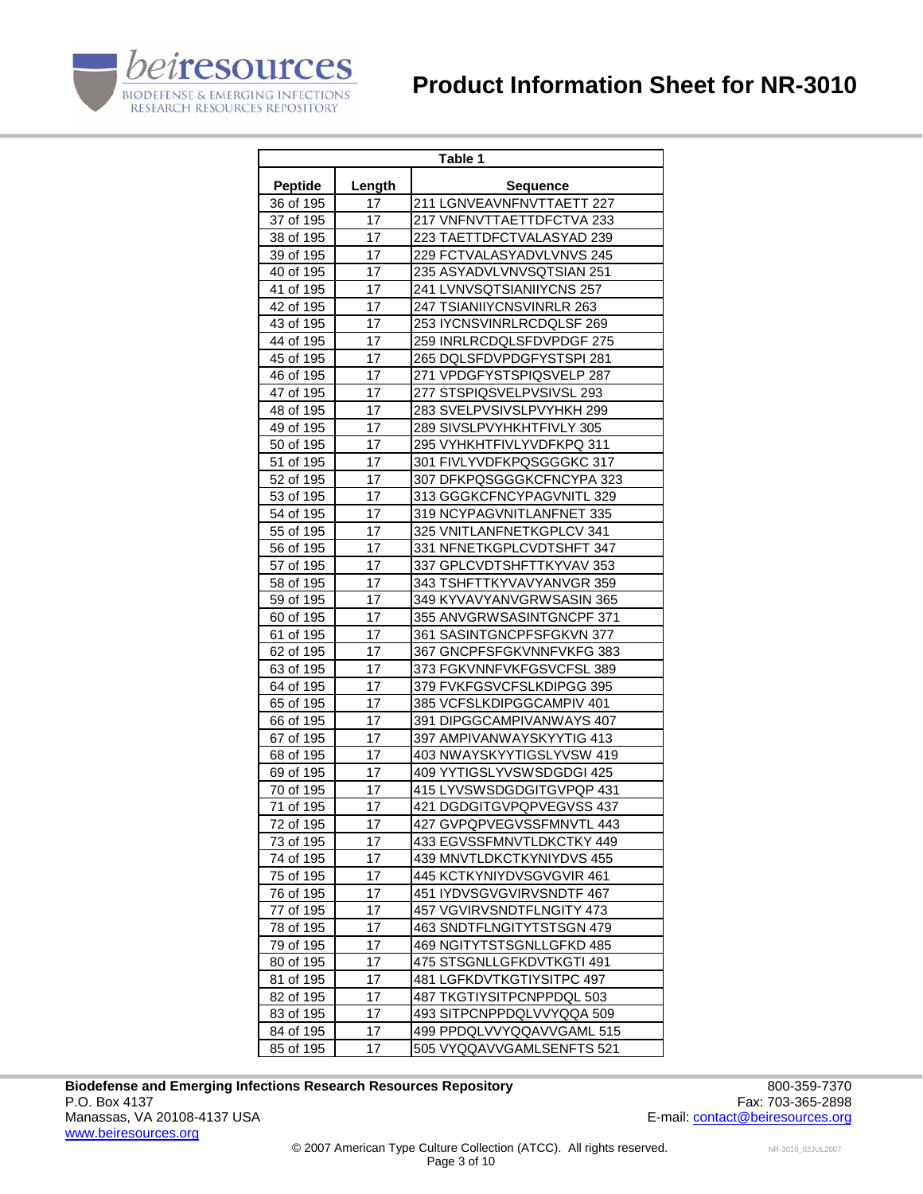# **Product Information Sheet for NR-3010**



| Table 1        |        |                           |  |
|----------------|--------|---------------------------|--|
| <b>Peptide</b> | Length | <b>Sequence</b>           |  |
| 36 of 195      | 17     | 211 LGNVEAVNFNVTTAETT 227 |  |
| 37 of 195      | 17     | 217 VNFNVTTAETTDFCTVA 233 |  |
| 38 of 195      | 17     | 223 TAETTDFCTVALASYAD 239 |  |
| 39 of 195      | 17     | 229 FCTVALASYADVLVNVS 245 |  |
| 40 of 195      | 17     | 235 ASYADVLVNVSQTSIAN 251 |  |
| 41 of 195      | 17     | 241 LVNVSQTSIANIIYCNS 257 |  |
| 42 of 195      | 17     | 247 TSIANIIYCNSVINRLR 263 |  |
| 43 of 195      | 17     | 253 IYCNSVINRLRCDQLSF 269 |  |
| 44 of 195      | 17     | 259 INRLRCDQLSFDVPDGF 275 |  |
| 45 of 195      | 17     | 265 DQLSFDVPDGFYSTSPI 281 |  |
| 46 of 195      | 17     | 271 VPDGFYSTSPIQSVELP 287 |  |
| 47 of 195      | 17     | 277 STSPIQSVELPVSIVSL 293 |  |
| 48 of 195      | 17     | 283 SVELPVSIVSLPVYHKH 299 |  |
| 49 of 195      | 17     | 289 SIVSLPVYHKHTFIVLY 305 |  |
| 50 of 195      | 17     | 295 VYHKHTFIVLYVDFKPQ 311 |  |
| 51 of 195      | 17     | 301 FIVLYVDFKPQSGGGKC 317 |  |
| 52 of 195      | 17     | 307 DFKPQSGGGKCFNCYPA 323 |  |
| 53 of 195      | 17     | 313 GGGKCFNCYPAGVNITL 329 |  |
| 54 of 195      | 17     | 319 NCYPAGVNITLANFNET 335 |  |
| 55 of 195      | 17     | 325 VNITLANFNETKGPLCV 341 |  |
| 56 of 195      | 17     | 331 NFNETKGPLCVDTSHFT 347 |  |
| 57 of 195      | 17     | 337 GPLCVDTSHFTTKYVAV 353 |  |
| 58 of 195      | 17     | 343 TSHFTTKYVAVYANVGR 359 |  |
| 59 of 195      | 17     | 349 KYVAVYANVGRWSASIN 365 |  |
| 60 of 195      | 17     | 355 ANVGRWSASINTGNCPF 371 |  |
| 61 of 195      | 17     | 361 SASINTGNCPFSFGKVN 377 |  |
| 62 of 195      | 17     | 367 GNCPFSFGKVNNFVKFG 383 |  |
| 63 of 195      | 17     | 373 FGKVNNFVKFGSVCFSL 389 |  |
| 64 of 195      | 17     | 379 FVKFGSVCFSLKDIPGG 395 |  |
| 65 of 195      | 17     | 385 VCFSLKDIPGGCAMPIV 401 |  |
| 66 of 195      | 17     | 391 DIPGGCAMPIVANWAYS 407 |  |
| 67 of 195      | 17     | 397 AMPIVANWAYSKYYTIG 413 |  |
| 68 of 195      | 17     | 403 NWAYSKYYTIGSLYVSW 419 |  |
| 69 of 195      | 17     | 409 YYTIGSLYVSWSDGDGI 425 |  |
| 70 of 195      | 17     | 415 LYVSWSDGDGITGVPQP 431 |  |
| 71 of 195      | 17     | 421 DGDGITGVPQPVEGVSS 437 |  |
| 72 of 195      | 17     | 427 GVPQPVEGVSSFMNVTL 443 |  |
| 73 of 195      | 17     | 433 EGVSSFMNVTLDKCTKY 449 |  |
| 74 of 195      | 17     | 439 MNVTLDKCTKYNIYDVS 455 |  |
| 75 of 195      | 17     | 445 KCTKYNIYDVSGVGVIR 461 |  |
| 76 of 195      | 17     | 451 IYDVSGVGVIRVSNDTF 467 |  |
| 77 of 195      | 17     | 457 VGVIRVSNDTFLNGITY 473 |  |
| 78 of 195      | 17     | 463 SNDTFLNGITYTSTSGN 479 |  |
| 79 of 195      | 17     | 469 NGITYTSTSGNLLGFKD 485 |  |
| 80 of 195      | 17     | 475 STSGNLLGFKDVTKGTI 491 |  |
| 81 of 195      | 17     | 481 LGFKDVTKGTIYSITPC 497 |  |
| 82 of 195      | 17     | 487 TKGTIYSITPCNPPDQL 503 |  |
| 83 of 195      | 17     | 493 SITPCNPPDQLVVYQQA 509 |  |
| 84 of 195      | 17     | 499 PPDQLVVYQQAVVGAML 515 |  |
| 85 of 195      | 17     | 505 VYQQAVVGAMLSENFTS 521 |  |
|                |        |                           |  |

Biodefense and Emerging Infections Research Resources Repository<br>P.O. Box 4137 Fax: 703-365-2898 P.O. Box 4137 Fax: 703-365-2898<br>Manassas, VA 20108-4137 USA Taxis and the set of the set of the set of the set of the set of the set of the set of the set of the set of the set of the set of the set of the set of the set o www.beiresources.org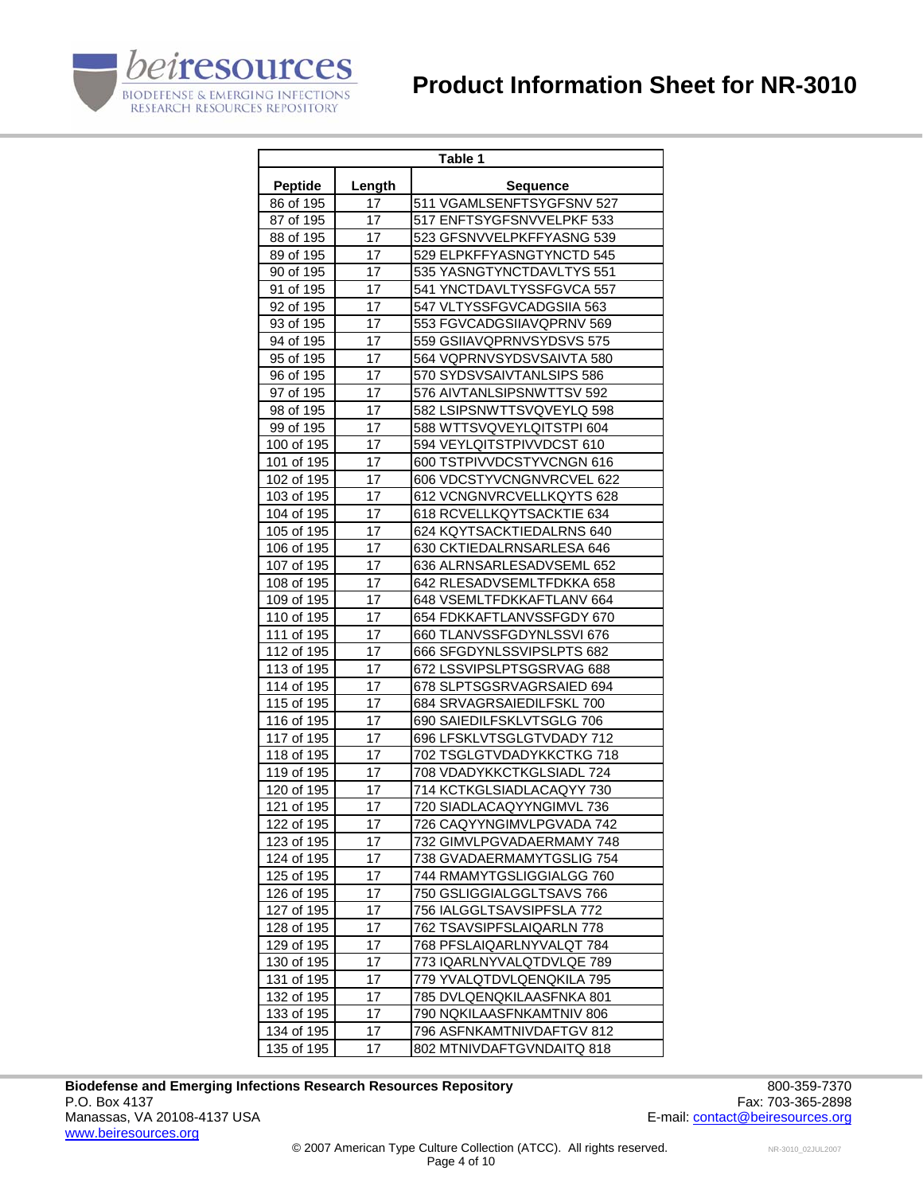# **Product Information Sheet for NR-3010**



| Table 1        |        |                                                        |  |
|----------------|--------|--------------------------------------------------------|--|
| <b>Peptide</b> | Length | <b>Sequence</b>                                        |  |
| 86 of 195      | 17     | 511 VGAMLSENFTSYGFSNV 527                              |  |
| 87 of 195      | 17     | 517 ENFTSYGFSNVVELPKF 533                              |  |
| 88 of 195      | 17     | 523 GFSNVVELPKFFYASNG 539                              |  |
| 89 of 195      | 17     | 529 ELPKFFYASNGTYNCTD 545                              |  |
| 90 of 195      | 17     | 535 YASNGTYNCTDAVLTYS 551                              |  |
| 91 of 195      | 17     | 541 YNCTDAVLTYSSFGVCA 557                              |  |
| 92 of 195      | 17     | 547 VLTYSSFGVCADGSIIA 563                              |  |
| 93 of 195      | 17     | 553 FGVCADGSIIAVQPRNV 569                              |  |
| 94 of 195      | 17     | 559 GSIIAVQPRNVSYDSVS 575                              |  |
| 95 of 195      | 17     | 564 VQPRNVSYDSVSAIVTA 580                              |  |
| 96 of 195      | 17     | 570 SYDSVSAIVTANLSIPS 586                              |  |
| 97 of 195      | 17     | 576 AIVTANLSIPSNWTTSV 592                              |  |
| 98 of 195      | 17     | 582 LSIPSNWTTSVQVEYLQ 598                              |  |
| 99 of 195      | 17     | 588 WTTSVQVEYLQITSTPI 604                              |  |
| 100 of 195     | 17     | 594 VEYLQITSTPIVVDCST 610                              |  |
| 101 of 195     | 17     | 600 TSTPIVVDCSTYVCNGN 616                              |  |
| 102 of 195     | 17     | 606 VDCSTYVCNGNVRCVEL 622                              |  |
| 103 of 195     | 17     | 612 VCNGNVRCVELLKQYTS 628                              |  |
| 104 of 195     | 17     | 618 RCVELLKQYTSACKTIE 634                              |  |
| 105 of 195     | 17     | 624 KQYTSACKTIEDALRNS 640                              |  |
| 106 of 195     | 17     | 630 CKTIEDALRNSARLESA 646                              |  |
| 107 of 195     | 17     | 636 ALRNSARLESADVSEML 652                              |  |
| 108 of 195     | 17     | 642 RLESADVSEMLTFDKKA 658                              |  |
| 109 of 195     | 17     |                                                        |  |
| 110 of 195     | 17     | 648 VSEMLTFDKKAFTLANV 664<br>654 FDKKAFTLANVSSFGDY 670 |  |
| 111 of 195     | 17     |                                                        |  |
| 112 of 195     | 17     | 660 TLANVSSFGDYNLSSVI 676<br>666 SFGDYNLSSVIPSLPTS 682 |  |
| 113 of 195     | 17     | 672 LSSVIPSLPTSGSRVAG 688                              |  |
| 114 of 195     | 17     | 678 SLPTSGSRVAGRSAIED 694                              |  |
|                | 17     |                                                        |  |
| 115 of 195     | 17     | 684 SRVAGRSAIEDILFSKL 700<br>690 SAIEDILFSKLVTSGLG 706 |  |
| 116 of 195     |        |                                                        |  |
| 117 of 195     | 17     | 696 LFSKLVTSGLGTVDADY 712                              |  |
| 118 of 195     | 17     | 702 TSGLGTVDADYKKCTKG 718                              |  |
| 119 of 195     | 17     | 708 VDADYKKCTKGLSIADL 724                              |  |
| 120 of 195     | 17     | 714 KCTKGLSIADLACAQYY 730                              |  |
| 121 of 195     | 17     | 720 SIADLACAQYYNGIMVL 736                              |  |
| 122 of 195     | 17     | 726 CAQYYNGIMVLPGVADA 742                              |  |
| 123 of 195     | 17     | 732 GIMVLPGVADAERMAMY 748                              |  |
| 124 of 195     | 17     | 738 GVADAERMAMYTGSLIG 754                              |  |
| 125 of 195     | 17     | 744 RMAMYTGSLIGGIALGG 760                              |  |
| 126 of 195     | 17     | 750 GSLIGGIALGGLTSAVS 766                              |  |
| 127 of 195     | 17     | 756 IALGGLTSAVSIPFSLA 772                              |  |
| 128 of 195     | 17     | 762 TSAVSIPFSLAIQARLN 778                              |  |
| 129 of 195     | 17     | 768 PFSLAIQARLNYVALQT 784                              |  |
| 130 of 195     | 17     | 773 IQARLNYVALQTDVLQE 789                              |  |
| 131 of 195     | 17     | 779 YVALQTDVLQENQKILA 795                              |  |
| 132 of 195     | 17     | 785 DVLQENQKILAASFNKA 801                              |  |
| 133 of 195     | 17     | 790 NQKILAASFNKAMTNIV 806                              |  |
| 134 of 195     | 17     | 796 ASFNKAMTNIVDAFTGV 812                              |  |
| 135 of 195     | 17     | 802 MTNIVDAFTGVNDAITQ 818                              |  |

Biodefense and Emerging Infections Research Resources Repository<br>P.O. Box 4137 Fax: 703-365-2898 P.O. Box 4137 Fax: 703-365-2898<br>Manassas, VA 20108-4137 USA Taxis and the set of the set of the set of the set of the set of the set of the set of the set of the set of the set of the set of the set of the set of the set o www.beiresources.org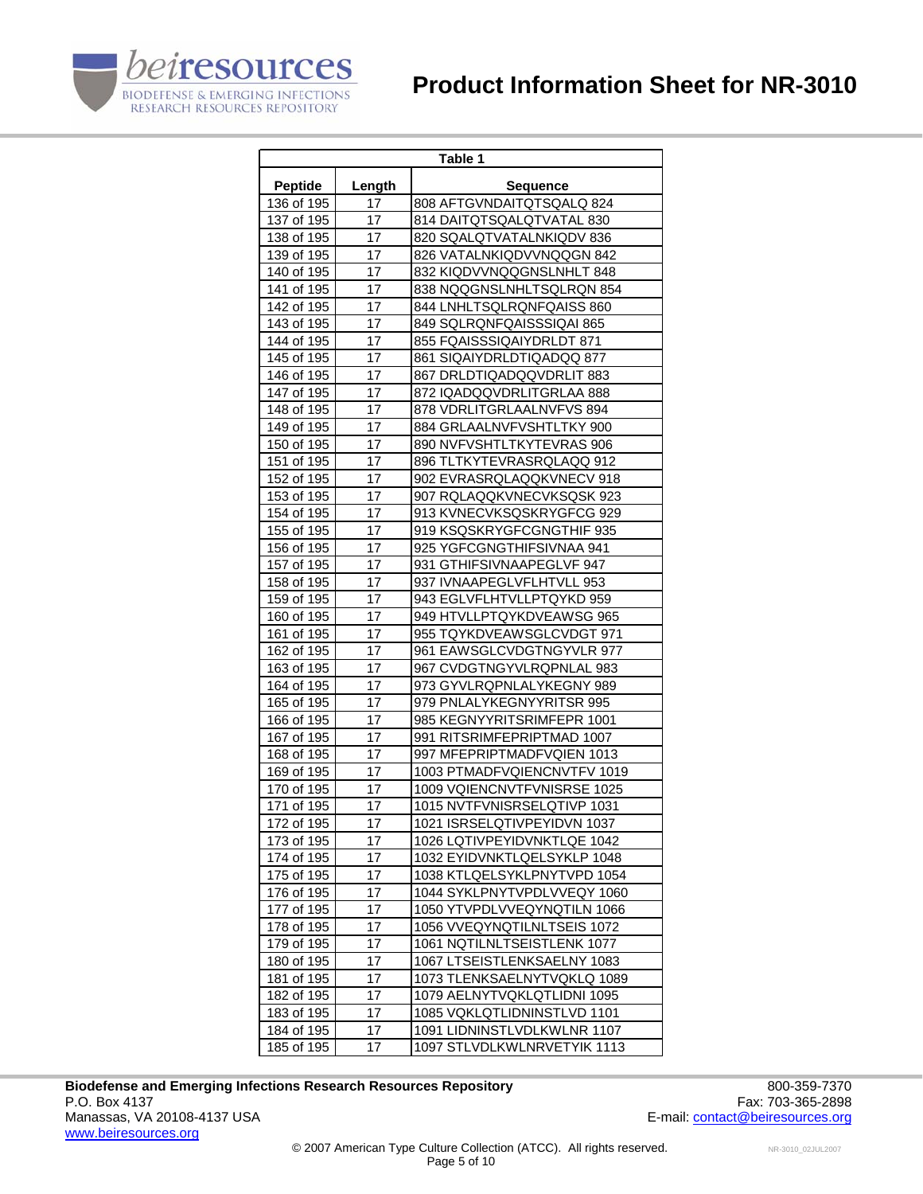# **Product Information Sheet for NR-3010**



| Table 1                  |          |                                                        |  |
|--------------------------|----------|--------------------------------------------------------|--|
| <b>Peptide</b>           | Length   | <b>Sequence</b>                                        |  |
| 136 of 195               | 17       | 808 AFTGVNDAITQTSQALQ 824                              |  |
| 137 of 195               | 17       | 814 DAITQTSQALQTVATAL 830                              |  |
| 138 of 195               | 17       | 820 SQALQTVATALNKIQDV 836                              |  |
| 139 of 195               | 17       | 826 VATALNKIQDVVNQQGN 842                              |  |
| 140 of 195               | 17       | 832 KIQDVVNQQGNSLNHLT 848                              |  |
| 141 of 195               | 17       | 838 NQQGNSLNHLTSQLRQN 854                              |  |
| 142 of 195               | 17       | 844 LNHLTSQLRQNFQAISS 860                              |  |
| 143 of 195               | 17       | 849 SQLRQNFQAISSSIQAI 865                              |  |
| 144 of 195               | 17       | 855 FQAISSSIQAIYDRLDT 871                              |  |
| 145 of 195               | 17       | 861 SIQAIYDRLDTIQADQQ 877                              |  |
| 146 of 195               | 17       | 867 DRLDTIQADQQVDRLIT 883                              |  |
| 147 of 195               | 17       | 872 IQADQQVDRLITGRLAA 888                              |  |
| 148 of 195               | 17       | 878 VDRLITGRLAALNVFVS 894                              |  |
| 149 of 195               | 17       | 884 GRLAALNVFVSHTLTKY 900                              |  |
| 150 of 195               | 17       | 890 NVFVSHTLTKYTEVRAS 906                              |  |
| 151 of 195               | 17       | 896 TLTKYTEVRASRQLAQQ 912                              |  |
| 152 of 195               | 17       | 902 EVRASRQLAQQKVNECV 918                              |  |
| 153 of 195               | 17       | 907 RQLAQQKVNECVKSQSK 923                              |  |
| 154 of 195               | 17       | 913 KVNECVKSQSKRYGFCG 929                              |  |
| 155 of 195               | 17       | 919 KSQSKRYGFCGNGTHIF 935                              |  |
| 156 of 195               | 17       | 925 YGFCGNGTHIFSIVNAA 941                              |  |
| 157 of 195               | 17       | 931 GTHIFSIVNAAPEGLVF 947                              |  |
| 158 of 195               | 17       | 937 IVNAAPEGLVFLHTVLL 953                              |  |
|                          | 17       |                                                        |  |
| 159 of 195<br>160 of 195 | 17       | 943 EGLVFLHTVLLPTQYKD 959<br>949 HTVLLPTQYKDVEAWSG 965 |  |
|                          |          |                                                        |  |
| 161 of 195<br>162 of 195 | 17<br>17 | 955 TQYKDVEAWSGLCVDGT 971<br>961 EAWSGLCVDGTNGYVLR 977 |  |
|                          | 17       |                                                        |  |
| 163 of 195               | 17       | 967 CVDGTNGYVLRQPNLAL 983                              |  |
| 164 of 195               | 17       | 973 GYVLRQPNLALYKEGNY 989                              |  |
| 165 of 195               |          | 979 PNLALYKEGNYYRITSR 995                              |  |
| 166 of 195               | 17       | 985 KEGNYYRITSRIMFEPR 1001                             |  |
| 167 of 195               | 17       | 991 RITSRIMFEPRIPTMAD 1007                             |  |
| 168 of 195               | 17       | 997 MFEPRIPTMADFVQIEN 1013                             |  |
| 169 of 195               | 17       | 1003 PTMADFVQIENCNVTFV 1019                            |  |
| 170 of 195               | 17       | 1009 VQIENCNVTFVNISRSE 1025                            |  |
| 171 of 195               | 17       | 1015 NVTFVNISRSELQTIVP 1031                            |  |
| 172 of 195               | 17       | 1021 ISRSELQTIVPEYIDVN 1037                            |  |
| 173 of 195               | 17       | 1026 LQTIVPEYIDVNKTLQE 1042                            |  |
| 174 of 195               | 17       | 1032 EYIDVNKTLQELSYKLP 1048                            |  |
| 175 of 195               | 17       | 1038 KTLQELSYKLPNYTVPD 1054                            |  |
| 176 of 195               | 17       | 1044 SYKLPNYTVPDLVVEQY 1060                            |  |
| 177 of 195               | 17       | 1050 YTVPDLVVEQYNQTILN 1066                            |  |
| 178 of 195               | 17       | 1056 VVEQYNQTILNLTSEIS 1072                            |  |
| 179 of 195               | 17       | 1061 NQTILNLTSEISTLENK 1077                            |  |
| 180 of 195               | 17       | 1067 LTSEISTLENKSAELNY 1083                            |  |
| 181 of 195               | 17       | 1073 TLENKSAELNYTVQKLQ 1089                            |  |
| 182 of 195               | 17       | 1079 AELNYTVQKLQTLIDNI 1095                            |  |
| 183 of 195               | 17       | 1085 VQKLQTLIDNINSTLVD 1101                            |  |
| 184 of 195               | 17       | 1091 LIDNINSTLVDLKWLNR 1107                            |  |
| 185 of 195               | 17       | 1097 STLVDLKWLNRVETYIK 1113                            |  |

Biodefense and Emerging Infections Research Resources Repository<br>P.O. Box 4137 Fax: 703-365-2898 P.O. Box 4137 Fax: 703-365-2898<br>Manassas, VA 20108-4137 USA Taxis and the set of the set of the set of the set of the set of the set of the set of the set of the set of the set of the set of the set of the set of the set o www.beiresources.org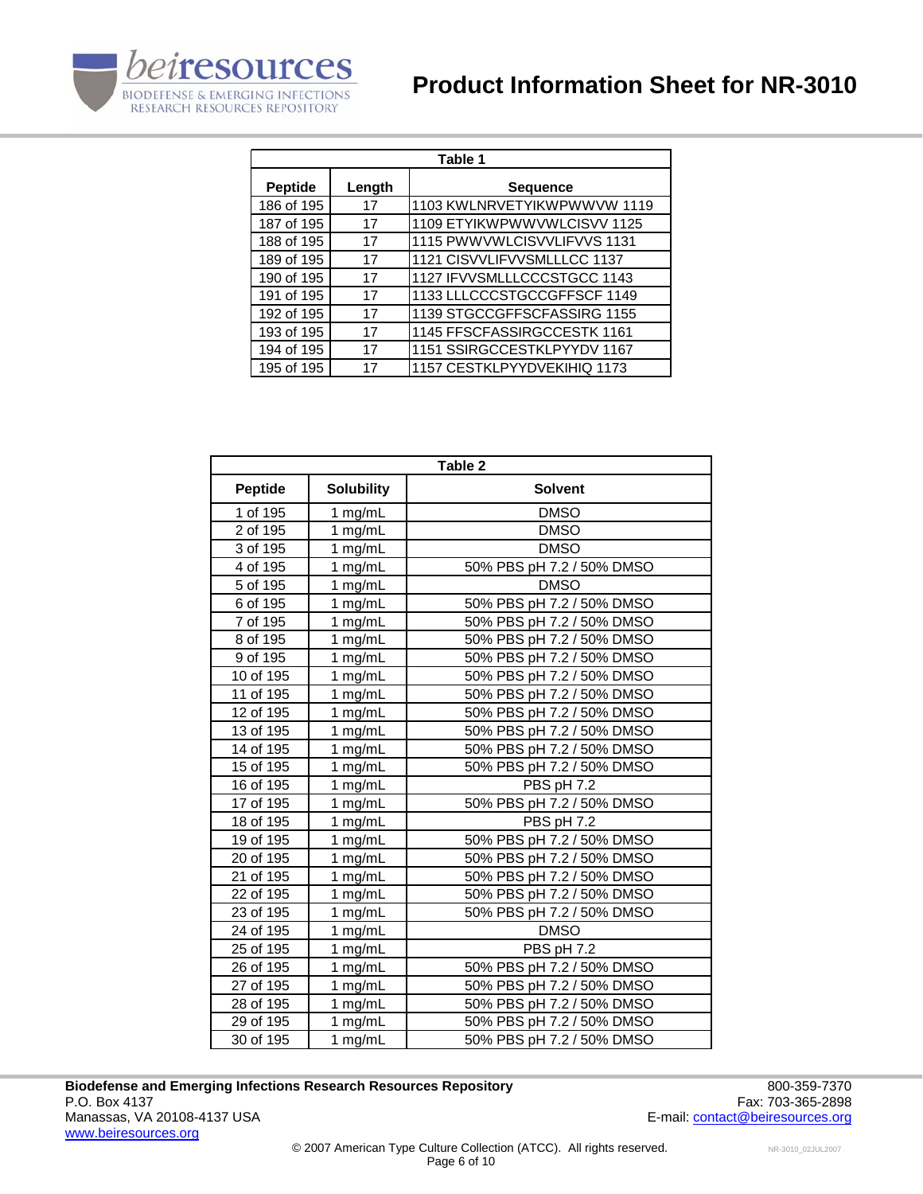

| Table 1        |        |                             |
|----------------|--------|-----------------------------|
| <b>Peptide</b> | Length | <b>Sequence</b>             |
| 186 of 195     | 17     | 1103 KWLNRVETYIKWPWWVW 1119 |
| 187 of 195     | 17     | 1109 ETYIKWPWWVWLCISVV 1125 |
| 188 of 195     | 17     | 1115 PWWVWLCISVVLIFVVS 1131 |
| 189 of 195     | 17     | 1121 CISVVLIFVVSMLLLCC 1137 |
| 190 of 195     | 17     | 1127 IFVVSMLLLCCCSTGCC 1143 |
| 191 of 195     | 17     | 1133 LLLCCCSTGCCGFFSCF 1149 |
| 192 of 195     | 17     | 1139 STGCCGFFSCFASSIRG 1155 |
| 193 of 195     | 17     | 1145 FFSCFASSIRGCCESTK 1161 |
| 194 of 195     | 17     | 1151 SSIRGCCESTKLPYYDV 1167 |
| 195 of 195     | 17     | 1157 CESTKLPYYDVEKIHIQ 1173 |

| Table 2        |                      |                           |
|----------------|----------------------|---------------------------|
| <b>Peptide</b> | <b>Solubility</b>    | <b>Solvent</b>            |
| 1 of 195       | 1 mg/mL              | <b>DMSO</b>               |
| 2 of 195       | 1 mg/mL              | <b>DMSO</b>               |
| 3 of 195       | 1 mg/mL              | <b>DMSO</b>               |
| 4 of 195       | 1 mg/mL              | 50% PBS pH 7.2 / 50% DMSO |
| 5 of 195       | 1 mg/mL              | <b>DMSO</b>               |
| 6 of 195       | 1 mg/mL              | 50% PBS pH 7.2 / 50% DMSO |
| 7 of 195       | 1 mg/mL              | 50% PBS pH 7.2 / 50% DMSO |
| 8 of 195       | 1 mg/mL              | 50% PBS pH 7.2 / 50% DMSO |
| 9 of 195       | 1 mg/mL              | 50% PBS pH 7.2 / 50% DMSO |
| 10 of 195      | 1 mg/mL              | 50% PBS pH 7.2 / 50% DMSO |
| 11 of 195      | 1 mg/mL              | 50% PBS pH 7.2 / 50% DMSO |
| 12 of 195      | 1 mg/mL              | 50% PBS pH 7.2 / 50% DMSO |
| 13 of 195      | 1 mg/mL              | 50% PBS pH 7.2 / 50% DMSO |
| 14 of 195      | 1 mg/mL              | 50% PBS pH 7.2 / 50% DMSO |
| 15 of 195      | 1 mg/mL              | 50% PBS pH 7.2 / 50% DMSO |
| 16 of 195      | 1 mg/mL              | PBS pH 7.2                |
| 17 of 195      | 1 mg/mL              | 50% PBS pH 7.2 / 50% DMSO |
| 18 of 195      | 1 mg/mL              | PBS pH 7.2                |
| 19 of 195      | 1 mg/mL              | 50% PBS pH 7.2 / 50% DMSO |
| 20 of 195      | 1 mg/mL              | 50% PBS pH 7.2 / 50% DMSO |
| 21 of 195      | 1 mg/mL              | 50% PBS pH 7.2 / 50% DMSO |
| 22 of 195      | 1 mg/mL              | 50% PBS pH 7.2 / 50% DMSO |
| 23 of 195      | 1 mg/mL              | 50% PBS pH 7.2 / 50% DMSO |
| 24 of 195      | 1 mg/mL              | <b>DMSO</b>               |
| 25 of 195      | 1 mg/mL              | PBS pH 7.2                |
| 26 of 195      | 1 mg/mL              | 50% PBS pH 7.2 / 50% DMSO |
| 27 of 195      | 1 mg/mL              | 50% PBS pH 7.2 / 50% DMSO |
| 28 of 195      | 1 mg/mL              | 50% PBS pH 7.2 / 50% DMSO |
| 29 of 195      | $\overline{1}$ mg/mL | 50% PBS pH 7.2 / 50% DMSO |
| 30 of 195      | 1 mg/mL              | 50% PBS pH 7.2 / 50% DMSO |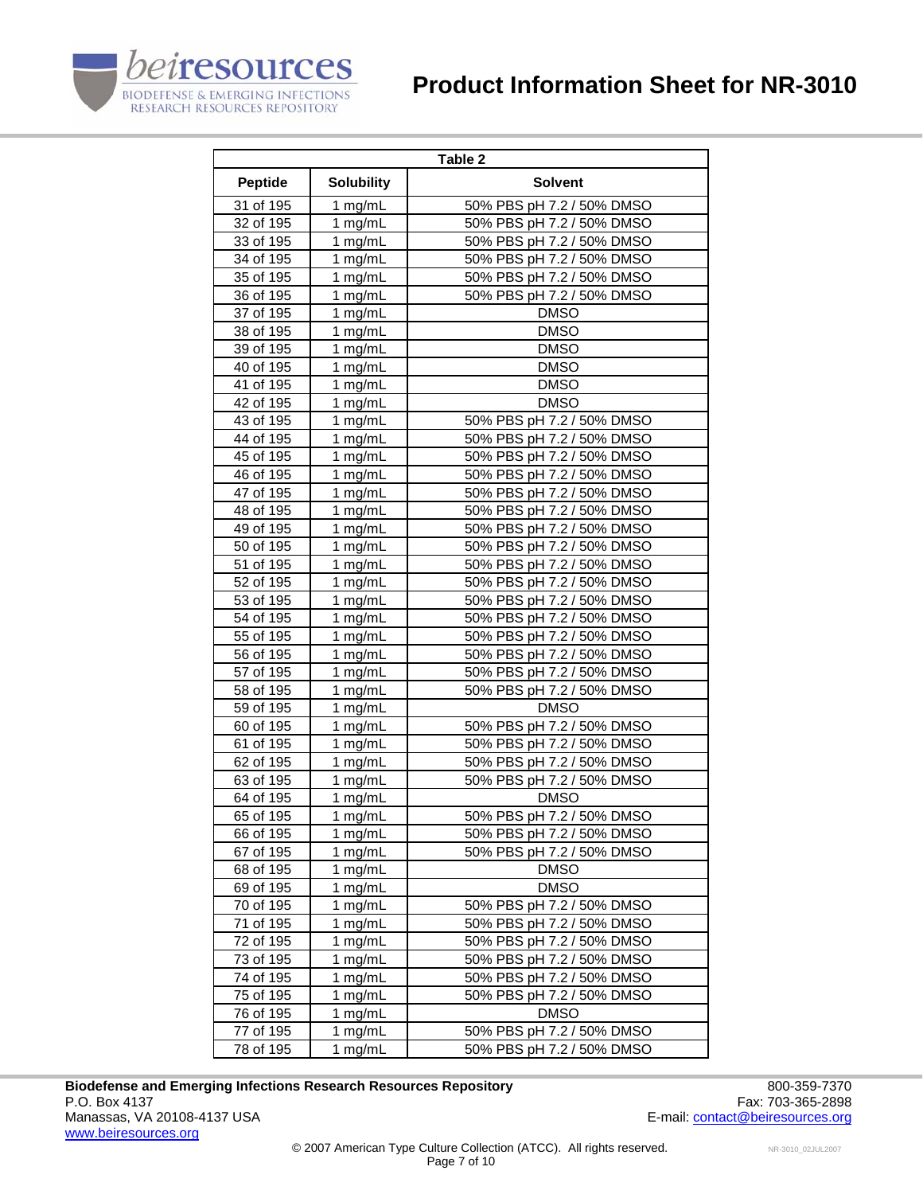



| Table 2        |                   |                           |  |
|----------------|-------------------|---------------------------|--|
| <b>Peptide</b> | <b>Solubility</b> | <b>Solvent</b>            |  |
| 31 of 195      | 1 mg/mL           | 50% PBS pH 7.2 / 50% DMSO |  |
| 32 of 195      | 1 $mg/mL$         | 50% PBS pH 7.2 / 50% DMSO |  |
| 33 of 195      | 1 mg/mL           | 50% PBS pH 7.2 / 50% DMSO |  |
| 34 of 195      | 1 mg/mL           | 50% PBS pH 7.2 / 50% DMSO |  |
| 35 of 195      | 1 mg/mL           | 50% PBS pH 7.2 / 50% DMSO |  |
| 36 of 195      | 1 mg/mL           | 50% PBS pH 7.2 / 50% DMSO |  |
| 37 of 195      | 1 mg/mL           | <b>DMSO</b>               |  |
| 38 of 195      | 1 mg/mL           | <b>DMSO</b>               |  |
| 39 of 195      | 1 mg/mL           | <b>DMSO</b>               |  |
| 40 of 195      | 1 mg/mL           | <b>DMSO</b>               |  |
| 41 of 195      | 1 mg/mL           | <b>DMSO</b>               |  |
| 42 of 195      | $1$ mg/mL         | <b>DMSO</b>               |  |
| 43 of 195      | 1 mg/mL           | 50% PBS pH 7.2 / 50% DMSO |  |
| 44 of 195      | 1 mg/mL           | 50% PBS pH 7.2 / 50% DMSO |  |
| 45 of 195      | 1 mg/mL           | 50% PBS pH 7.2 / 50% DMSO |  |
| 46 of 195      | 1 mg/mL           | 50% PBS pH 7.2 / 50% DMSO |  |
| 47 of 195      | 1 mg/mL           | 50% PBS pH 7.2 / 50% DMSO |  |
| 48 of 195      | 1 mg/mL           | 50% PBS pH 7.2 / 50% DMSO |  |
| 49 of 195      | 1 mg/mL           | 50% PBS pH 7.2 / 50% DMSO |  |
| 50 of 195      | 1 mg/mL           | 50% PBS pH 7.2 / 50% DMSO |  |
| 51 of 195      | 1 mg/mL           | 50% PBS pH 7.2 / 50% DMSO |  |
| 52 of 195      | 1 mg/mL           | 50% PBS pH 7.2 / 50% DMSO |  |
| 53 of 195      | 1 mg/mL           | 50% PBS pH 7.2 / 50% DMSO |  |
| 54 of 195      | 1 mg/mL           | 50% PBS pH 7.2 / 50% DMSO |  |
| 55 of 195      | 1 mg/mL           | 50% PBS pH 7.2 / 50% DMSO |  |
| 56 of 195      | 1 mg/mL           | 50% PBS pH 7.2 / 50% DMSO |  |
| 57 of 195      | 1 $mg/mL$         | 50% PBS pH 7.2 / 50% DMSO |  |
| 58 of 195      | 1 mg/mL           | 50% PBS pH 7.2 / 50% DMSO |  |
| 59 of 195      | 1 mg/mL           | <b>DMSO</b>               |  |
| 60 of 195      | 1 mg/mL           | 50% PBS pH 7.2 / 50% DMSO |  |
| 61 of 195      | 1 mg/mL           | 50% PBS pH 7.2 / 50% DMSO |  |
| 62 of 195      | 1 mg/mL           | 50% PBS pH 7.2 / 50% DMSO |  |
| 63 of 195      | 1 mg/mL           | 50% PBS pH 7.2 / 50% DMSO |  |
| 64 of 195      | 1 mg/mL           | <b>DMSO</b>               |  |
| 65 of 195      | 1 mg/mL           | 50% PBS pH 7.2 / 50% DMSO |  |
| 66 of 195      | 1 mg/mL           | 50% PBS pH 7.2 / 50% DMSO |  |
| 67 of 195      | 1 mg/mL           | 50% PBS pH 7.2 / 50% DMSO |  |
| 68 of 195      | 1 mg/mL           | <b>DMSO</b>               |  |
| 69 of 195      | 1 mg/mL           | <b>DMSO</b>               |  |
| 70 of 195      | 1 mg/mL           | 50% PBS pH 7.2 / 50% DMSO |  |
| 71 of 195      | 1 mg/mL           | 50% PBS pH 7.2 / 50% DMSO |  |
| 72 of 195      | 1 mg/mL           | 50% PBS pH 7.2 / 50% DMSO |  |
| 73 of 195      | 1 mg/mL           | 50% PBS pH 7.2 / 50% DMSO |  |
| 74 of 195      | 1 mg/mL           | 50% PBS pH 7.2 / 50% DMSO |  |
| 75 of 195      | 1 mg/mL           | 50% PBS pH 7.2 / 50% DMSO |  |
| 76 of 195      | 1 mg/mL           | <b>DMSO</b>               |  |
| 77 of 195      | 1 mg/mL           | 50% PBS pH 7.2 / 50% DMSO |  |
| 78 of 195      | 1 mg/mL           | 50% PBS pH 7.2 / 50% DMSO |  |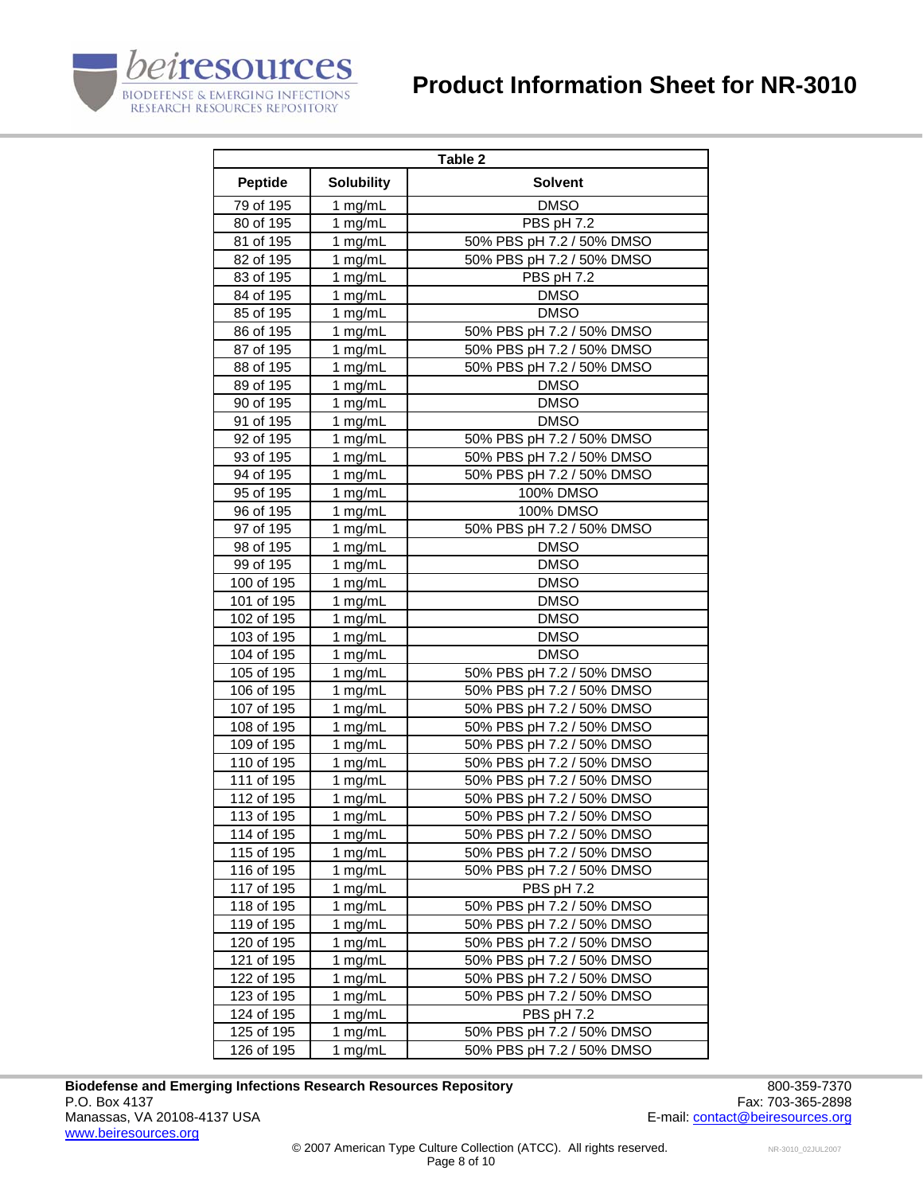



| Table 2        |                   |                           |  |
|----------------|-------------------|---------------------------|--|
| <b>Peptide</b> | <b>Solubility</b> | <b>Solvent</b>            |  |
| 79 of 195      | 1 mg/mL           | <b>DMSO</b>               |  |
| 80 of 195      | 1 mg/mL           | PBS pH 7.2                |  |
| 81 of 195      | 1 mg/mL           | 50% PBS pH 7.2 / 50% DMSO |  |
| 82 of 195      | 1 mg/mL           | 50% PBS pH 7.2 / 50% DMSO |  |
| 83 of 195      | 1 mg/mL           | PBS pH 7.2                |  |
| 84 of 195      | 1 $mg/mL$         | DMSO                      |  |
| 85 of 195      | 1 mg/mL           | <b>DMSO</b>               |  |
| 86 of 195      | 1 mg/mL           | 50% PBS pH 7.2 / 50% DMSO |  |
| 87 of 195      | 1 mg/mL           | 50% PBS pH 7.2 / 50% DMSO |  |
| 88 of 195      | 1 mg/mL           | 50% PBS pH 7.2 / 50% DMSO |  |
| 89 of 195      | 1 mg/mL           | <b>DMSO</b>               |  |
| 90 of 195      | 1 mg/mL           | <b>DMSO</b>               |  |
| 91 of 195      | 1 mg/mL           | <b>DMSO</b>               |  |
| 92 of 195      | 1 mg/mL           | 50% PBS pH 7.2 / 50% DMSO |  |
| 93 of 195      | 1 mg/mL           | 50% PBS pH 7.2 / 50% DMSO |  |
| 94 of 195      | 1 mg/mL           | 50% PBS pH 7.2 / 50% DMSO |  |
| 95 of 195      | 1 mg/mL           | 100% DMSO                 |  |
| 96 of 195      | 1 mg/mL           | 100% DMSO                 |  |
| 97 of 195      | 1 mg/mL           | 50% PBS pH 7.2 / 50% DMSO |  |
| 98 of 195      | 1 mg/mL           | <b>DMSO</b>               |  |
| 99 of 195      | 1 mg/mL           | DMSO                      |  |
| 100 of 195     | 1 mg/mL           | <b>DMSO</b>               |  |
| 101 of 195     | 1 mg/mL           | <b>DMSO</b>               |  |
| 102 of 195     | 1 mg/mL           | <b>DMSO</b>               |  |
| 103 of 195     | 1 mg/mL           | <b>DMSO</b>               |  |
| 104 of 195     | 1 mg/mL           | <b>DMSO</b>               |  |
| 105 of 195     | 1 mg/mL           | 50% PBS pH 7.2 / 50% DMSO |  |
| 106 of 195     | 1 mg/mL           | 50% PBS pH 7.2 / 50% DMSO |  |
| 107 of 195     | 1 mg/mL           | 50% PBS pH 7.2 / 50% DMSO |  |
| 108 of 195     | 1 mg/mL           | 50% PBS pH 7.2 / 50% DMSO |  |
| 109 of 195     | 1 mg/mL           | 50% PBS pH 7.2 / 50% DMSO |  |
| 110 of 195     | 1 mg/mL           | 50% PBS pH 7.2 / 50% DMSO |  |
| 111 of 195     | 1 mg/mL           | 50% PBS pH 7.2 / 50% DMSO |  |
| 112 of 195     | 1 mg/mL           | 50% PBS pH 7.2 / 50% DMSO |  |
| 113 of 195     | 1 mg/mL           | 50% PBS pH 7.2 / 50% DMSO |  |
| 114 of 195     | 1 mg/mL           | 50% PBS pH 7.2 / 50% DMSO |  |
| 115 of 195     | 1 mg/mL           | 50% PBS pH 7.2 / 50% DMSO |  |
| 116 of 195     | 1 mg/mL           | 50% PBS pH 7.2 / 50% DMSO |  |
| 117 of 195     | 1 mg/mL           | PBS pH 7.2                |  |
| 118 of 195     | 1 mg/mL           | 50% PBS pH 7.2 / 50% DMSO |  |
| 119 of 195     | 1 mg/mL           | 50% PBS pH 7.2 / 50% DMSO |  |
| 120 of 195     | 1 mg/mL           | 50% PBS pH 7.2 / 50% DMSO |  |
| 121 of 195     | 1 mg/mL           | 50% PBS pH 7.2 / 50% DMSO |  |
| 122 of 195     | 1 mg/mL           | 50% PBS pH 7.2 / 50% DMSO |  |
| 123 of 195     | 1 mg/mL           | 50% PBS pH 7.2 / 50% DMSO |  |
| 124 of 195     | 1 mg/mL           | PBS pH 7.2                |  |
| 125 of 195     | 1 mg/mL           | 50% PBS pH 7.2 / 50% DMSO |  |
| 126 of 195     | 1 mg/mL           | 50% PBS pH 7.2 / 50% DMSO |  |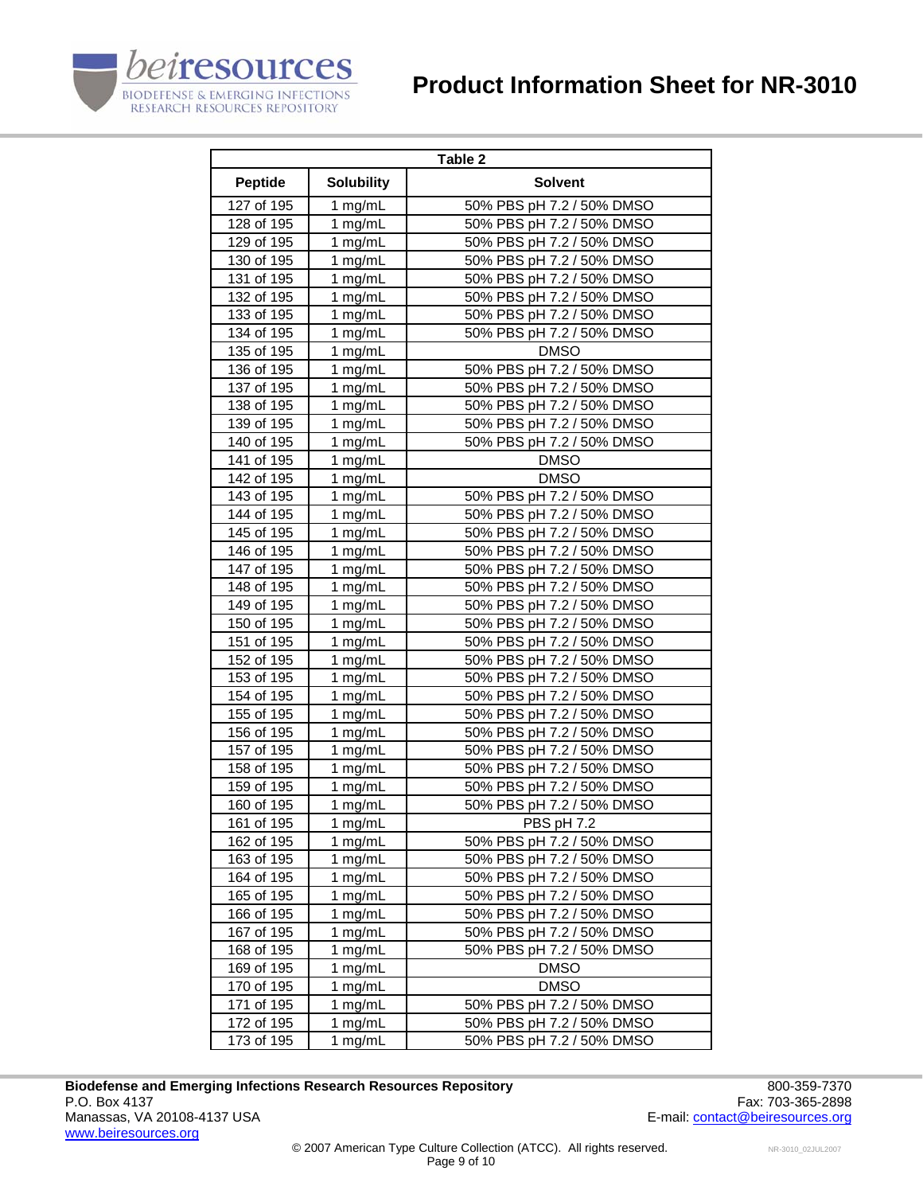

| Table 2        |                   |                           |  |
|----------------|-------------------|---------------------------|--|
| <b>Peptide</b> | <b>Solubility</b> | <b>Solvent</b>            |  |
| 127 of 195     | 1 mg/mL           | 50% PBS pH 7.2 / 50% DMSO |  |
| 128 of 195     | 1 $mg/mL$         | 50% PBS pH 7.2 / 50% DMSO |  |
| 129 of 195     | 1 mg/mL           | 50% PBS pH 7.2 / 50% DMSO |  |
| 130 of 195     | 1 mg/mL           | 50% PBS pH 7.2 / 50% DMSO |  |
| 131 of 195     | 1 mg/mL           | 50% PBS pH 7.2 / 50% DMSO |  |
| 132 of 195     | 1 mg/mL           | 50% PBS pH 7.2 / 50% DMSO |  |
| 133 of 195     | 1 mg/mL           | 50% PBS pH 7.2 / 50% DMSO |  |
| 134 of 195     | 1 mg/mL           | 50% PBS pH 7.2 / 50% DMSO |  |
| 135 of 195     | 1 mg/mL           | <b>DMSO</b>               |  |
| 136 of 195     | 1 mg/mL           | 50% PBS pH 7.2 / 50% DMSO |  |
| 137 of 195     | 1 mg/mL           | 50% PBS pH 7.2 / 50% DMSO |  |
| 138 of 195     | 1 mg/mL           | 50% PBS pH 7.2 / 50% DMSO |  |
| 139 of 195     | 1 mg/mL           | 50% PBS pH 7.2 / 50% DMSO |  |
| 140 of 195     | 1 mg/mL           | 50% PBS pH 7.2 / 50% DMSO |  |
| 141 of 195     | 1 mg/mL           | <b>DMSO</b>               |  |
| 142 of 195     | 1 mg/mL           | <b>DMSO</b>               |  |
| 143 of 195     | 1 mg/mL           | 50% PBS pH 7.2 / 50% DMSO |  |
| 144 of 195     | 1 mg/mL           | 50% PBS pH 7.2 / 50% DMSO |  |
| 145 of 195     | 1 mg/mL           | 50% PBS pH 7.2 / 50% DMSO |  |
| 146 of 195     | 1 mg/mL           | 50% PBS pH 7.2 / 50% DMSO |  |
| 147 of 195     | 1 mg/mL           | 50% PBS pH 7.2 / 50% DMSO |  |
| 148 of 195     | 1 mg/mL           | 50% PBS pH 7.2 / 50% DMSO |  |
| 149 of 195     | 1 mg/mL           | 50% PBS pH 7.2 / 50% DMSO |  |
| 150 of 195     | 1 mg/mL           | 50% PBS pH 7.2 / 50% DMSO |  |
| 151 of 195     | 1 mg/mL           | 50% PBS pH 7.2 / 50% DMSO |  |
| 152 of 195     | 1 mg/mL           | 50% PBS pH 7.2 / 50% DMSO |  |
| 153 of 195     | 1 mg/mL           | 50% PBS pH 7.2 / 50% DMSO |  |
| 154 of 195     | 1 mg/mL           | 50% PBS pH 7.2 / 50% DMSO |  |
| 155 of 195     | 1 mg/mL           | 50% PBS pH 7.2 / 50% DMSO |  |
| 156 of 195     | 1 mg/mL           | 50% PBS pH 7.2 / 50% DMSO |  |
| 157 of 195     | 1 mg/mL           | 50% PBS pH 7.2 / 50% DMSO |  |
| 158 of 195     | 1 mg/mL           | 50% PBS pH 7.2 / 50% DMSO |  |
| 159 of 195     | 1 $mg/mL$         | 50% PBS pH 7.2 / 50% DMSO |  |
| 160 of 195     | 1 mg/mL           | 50% PBS pH 7.2 / 50% DMSO |  |
| 161 of 195     | 1 mg/mL           | PBS pH 7.2                |  |
| 162 of 195     | 1 $mg/mL$         | 50% PBS pH 7.2 / 50% DMSO |  |
| 163 of 195     | 1 mg/mL           | 50% PBS pH 7.2 / 50% DMSO |  |
| 164 of 195     | 1 mg/mL           | 50% PBS pH 7.2 / 50% DMSO |  |
| 165 of 195     | 1 mg/mL           | 50% PBS pH 7.2 / 50% DMSO |  |
| 166 of 195     | 1 $mg/mL$         | 50% PBS pH 7.2 / 50% DMSO |  |
| 167 of 195     | 1 mg/mL           | 50% PBS pH 7.2 / 50% DMSO |  |
| 168 of 195     | 1 $mg/mL$         | 50% PBS pH 7.2 / 50% DMSO |  |
| 169 of 195     | 1 $mg/mL$         | <b>DMSO</b>               |  |
| 170 of 195     | 1 $mg/mL$         | <b>DMSO</b>               |  |
| 171 of 195     | 1 mg/mL           | 50% PBS pH 7.2 / 50% DMSO |  |
| 172 of 195     | 1 mg/mL           | 50% PBS pH 7.2 / 50% DMSO |  |
| 173 of 195     | 1 mg/mL           | 50% PBS pH 7.2 / 50% DMSO |  |